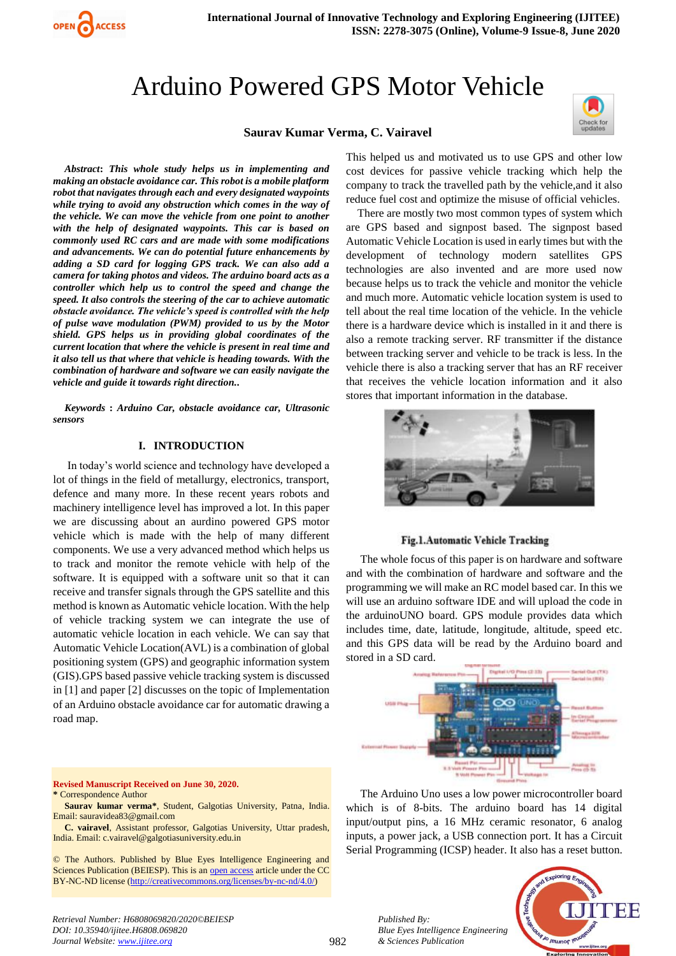# Arduino Powered GPS Motor Vehicle

#### **Saurav Kumar Verma, C. Vairavel**



*Abstract***:** *This whole study helps us in implementing and making an obstacle avoidance car. This robot is a mobile platform robot that navigates through each and every designated waypoints while trying to avoid any obstruction which comes in the way of the vehicle. We can move the vehicle from one point to another with the help of designated waypoints. This car is based on commonly used RC cars and are made with some modifications and advancements. We can do potential future enhancements by adding a SD card for logging GPS track. We can also add a camera for taking photos and videos. The arduino board acts as a controller which help us to control the speed and change the speed. It also controls the steering of the car to achieve automatic obstacle avoidance. The vehicle's speed is controlled with the help of pulse wave modulation (PWM) provided to us by the Motor shield. GPS helps us in providing global coordinates of the current location that where the vehicle is present in real time and it also tell us that where that vehicle is heading towards. With the combination of hardware and software we can easily navigate the vehicle and guide it towards right direction..*

OPEN CACCESS

*Keywords* **:** *Arduino Car, obstacle avoidance car, Ultrasonic sensors*

#### **I. INTRODUCTION**

In today's world science and technology have developed a lot of things in the field of metallurgy, electronics, transport, defence and many more. In these recent years robots and machinery intelligence level has improved a lot. In this paper we are discussing about an aurdino powered GPS motor vehicle which is made with the help of many different components. We use a very advanced method which helps us to track and monitor the remote vehicle with help of the software. It is equipped with a software unit so that it can receive and transfer signals through the GPS satellite and this method is known as Automatic vehicle location. With the help of vehicle tracking system we can integrate the use of automatic vehicle location in each vehicle. We can say that Automatic Vehicle Location(AVL) is a combination of global positioning system (GPS) and geographic information system (GIS).GPS based passive vehicle tracking system is discussed in [1] and paper [2] discusses on the topic of Implementation of an Arduino obstacle avoidance car for automatic drawing a road map.

#### **Revised Manuscript Received on June 30, 2020. \*** Correspondence Author

**Saurav kumar verma\***, Student, Galgotias University, Patna, India. Email: sauravidea83@gmail.com

**C. vairavel**, Assistant professor, Galgotias University, Uttar pradesh, India. Email: c.vairavel@galgotiasuniversity.edu.in

© The Authors. Published by Blue Eyes Intelligence Engineering and Sciences Publication (BEIESP). This is an [open access](https://www.openaccess.nl/en/open-publications) article under the CC BY-NC-ND license [\(http://creativecommons.org/licenses/by-nc-nd/4.0/\)](http://creativecommons.org/licenses/by-nc-nd/4.0/)

This helped us and motivated us to use GPS and other low cost devices for passive vehicle tracking which help the company to track the travelled path by the vehicle,and it also reduce fuel cost and optimize the misuse of official vehicles.

There are mostly two most common types of system which are GPS based and signpost based. The signpost based Automatic Vehicle Location is used in early times but with the development of technology modern satellites GPS technologies are also invented and are more used now because helps us to track the vehicle and monitor the vehicle and much more. Automatic vehicle location system is used to tell about the real time location of the vehicle. In the vehicle there is a hardware device which is installed in it and there is also a remote tracking server. RF transmitter if the distance between tracking server and vehicle to be track is less. In the vehicle there is also a tracking server that has an RF receiver that receives the vehicle location information and it also stores that important information in the database.



## Fig.1. Automatic Vehicle Tracking

The whole focus of this paper is on hardware and software and with the combination of hardware and software and the programming we will make an RC model based car. In this we will use an arduino software IDE and will upload the code in the arduinoUNO board. GPS module provides data which includes time, date, latitude, longitude, altitude, speed etc. and this GPS data will be read by the Arduino board and stored in a SD card.



The Arduino Uno uses a low power microcontroller board which is of 8-bits. The arduino board has 14 digital input/output pins, a 16 MHz ceramic resonator, 6 analog inputs, a power jack, a USB connection port. It has a Circuit Serial Programming (ICSP) header. It also has a reset button.



*Retrieval Number: H6808069820/2020©BEIESP DOI: 10.35940/ijitee.H6808.069820 Journal Website: www.ijitee.org*

982

*Published By:*

*& Sciences Publication*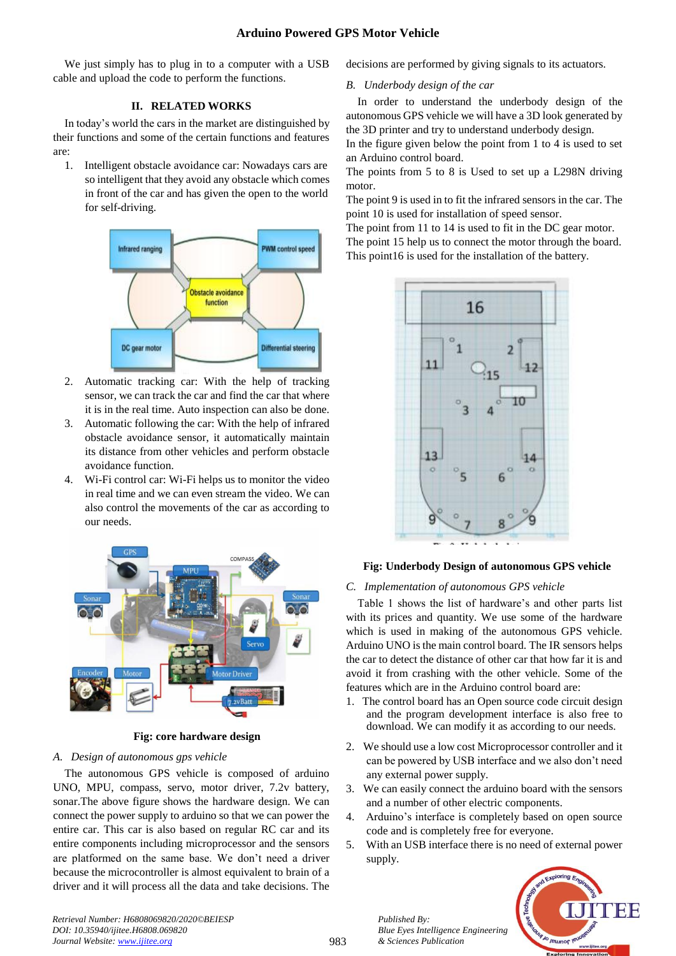We just simply has to plug in to a computer with a USB cable and upload the code to perform the functions.

# **II. RELATED WORKS**

In today's world the cars in the market are distinguished by their functions and some of the certain functions and features are:

1. Intelligent obstacle avoidance car: Nowadays cars are so intelligent that they avoid any obstacle which comes in front of the car and has given the open to the world for self-driving.



- 2. Automatic tracking car: With the help of tracking sensor, we can track the car and find the car that where it is in the real time. Auto inspection can also be done.
- 3. Automatic following the car: With the help of infrared obstacle avoidance sensor, it automatically maintain its distance from other vehicles and perform obstacle avoidance function.
- 4. Wi-Fi control car: Wi-Fi helps us to monitor the video in real time and we can even stream the video. We can also control the movements of the car as according to our needs.



**Fig: core hardware design**

# *A. Design of autonomous gps vehicle*

 The autonomous GPS vehicle is composed of arduino UNO, MPU, compass, servo, motor driver, 7.2v battery, sonar.The above figure shows the hardware design. We can connect the power supply to arduino so that we can power the entire car. This car is also based on regular RC car and its entire components including microprocessor and the sensors are platformed on the same base. We don't need a driver because the microcontroller is almost equivalent to brain of a driver and it will process all the data and take decisions. The decisions are performed by giving signals to its actuators.

# *B. Underbody design of the car*

In order to understand the underbody design of the autonomous GPS vehicle we will have a 3D look generated by the 3D printer and try to understand underbody design.

In the figure given below the point from 1 to 4 is used to set an Arduino control board.

The points from 5 to 8 is Used to set up a L298N driving motor.

The point 9 is used in to fit the infrared sensors in the car. The point 10 is used for installation of speed sensor.

The point from 11 to 14 is used to fit in the DC gear motor. The point 15 help us to connect the motor through the board. This point16 is used for the installation of the battery.



# **Fig: Underbody Design of autonomous GPS vehicle**

# *C. Implementation of autonomous GPS vehicle*

Table 1 shows the list of hardware's and other parts list with its prices and quantity. We use some of the hardware which is used in making of the autonomous GPS vehicle. Arduino UNO is the main control board. The IR sensors helps the car to detect the distance of other car that how far it is and avoid it from crashing with the other vehicle. Some of the features which are in the Arduino control board are:

- 1. The control board has an Open source code circuit design and the program development interface is also free to download. We can modify it as according to our needs.
- 2. We should use a low cost Microprocessor controller and it can be powered by USB interface and we also don't need any external power supply.
- 3. We can easily connect the arduino board with the sensors and a number of other electric components.
- 4. Arduino's interface is completely based on open source code and is completely free for everyone.
- 5. With an USB interface there is no need of external power supply.



*Retrieval Number: H6808069820/2020©BEIESP DOI: 10.35940/ijitee.H6808.069820 Journal Website: www.ijitee.org*

*Published By:*

*& Sciences Publication* 

*Blue Eyes Intelligence Engineering*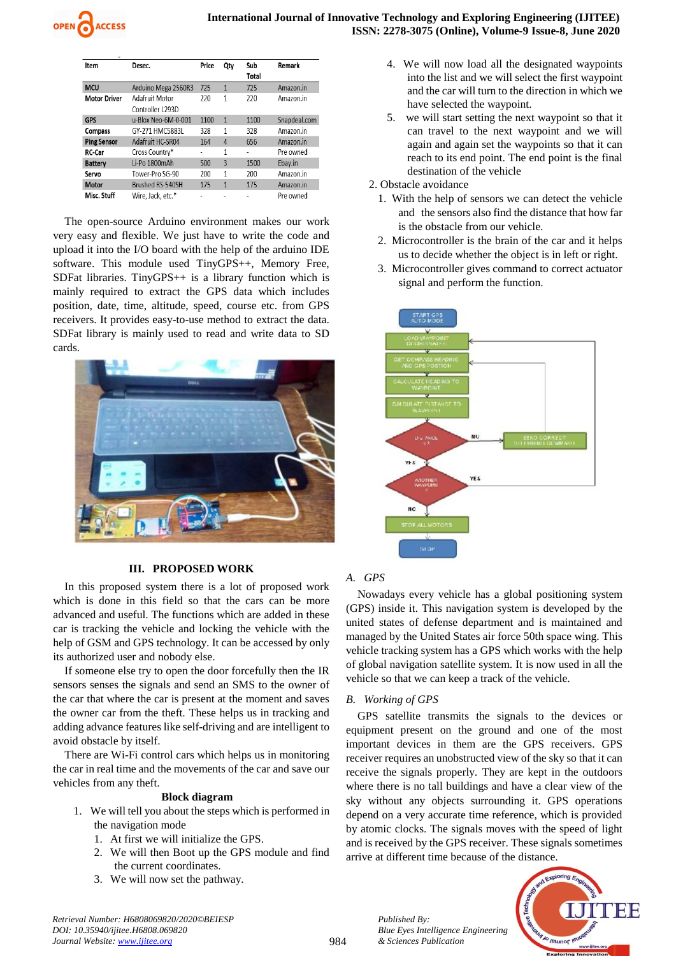| Item                | Desec.              | Price | Qty            | Sub   | Remark       |
|---------------------|---------------------|-------|----------------|-------|--------------|
|                     |                     |       |                | Total |              |
| <b>MCU</b>          | Arduino Mega 2560R3 | 725   | 1              | 725   | Amazon.in    |
| <b>Motor Driver</b> | Adafruit Motor      | 220   | 1              | 220   | Amazon.in    |
|                     | Controller I 293D   |       |                |       |              |
| <b>GPS</b>          | u-Blox Neo-6M-0-001 | 1100  | 1              | 1100  | Snapdeal.com |
| <b>Compass</b>      | GY-271 HMC5883L     | 328   | 1              | 328   | Amazon.in    |
| <b>Ping Sensor</b>  | Adafruit HC-SR04    | 164   | $\overline{4}$ | 656   | Amazon.in    |
| <b>RC-Car</b>       | Cross Country*      |       | 1              |       | Pre owned    |
| <b>Battery</b>      | Li-Po 1800mAh       | 500   | 3              | 1500  | Ebay.in      |
| Servo               | Tower-Pro SG-90     | 200   | 1              | 200   | Amazon.in    |
| Motor               | Brushed RS-540SH    | 175   | 1              | 175   | Amazon.in    |
| Misc. Stuff         | Wire, Jack, etc.*   |       |                |       | Pre owned    |

The open-source Arduino environment makes our work very easy and flexible. We just have to write the code and upload it into the I/O board with the help of the arduino IDE software. This module used TinyGPS++, Memory Free, SDFat libraries. TinyGPS++ is a library function which is mainly required to extract the GPS data which includes position, date, time, altitude, speed, course etc. from GPS receivers. It provides easy-to-use method to extract the data. SDFat library is mainly used to read and write data to SD cards.



## **III. PROPOSED WORK**

In this proposed system there is a lot of proposed work which is done in this field so that the cars can be more advanced and useful. The functions which are added in these car is tracking the vehicle and locking the vehicle with the help of GSM and GPS technology. It can be accessed by only its authorized user and nobody else.

If someone else try to open the door forcefully then the IR sensors senses the signals and send an SMS to the owner of the car that where the car is present at the moment and saves the owner car from the theft. These helps us in tracking and adding advance features like self-driving and are intelligent to avoid obstacle by itself.

There are Wi-Fi control cars which helps us in monitoring the car in real time and the movements of the car and save our vehicles from any theft.

## **Block diagram**

- 1. We will tell you about the steps which is performed in the navigation mode
	- 1. At first we will initialize the GPS.
	- 2. We will then Boot up the GPS module and find the current coordinates.
	- 3. We will now set the pathway.
- 4. We will now load all the designated waypoints into the list and we will select the first waypoint and the car will turn to the direction in which we have selected the waypoint.
- 5. we will start setting the next waypoint so that it can travel to the next waypoint and we will again and again set the waypoints so that it can reach to its end point. The end point is the final destination of the vehicle
- 2. Obstacle avoidance
	- 1. With the help of sensors we can detect the vehicle and the sensors also find the distance that how far is the obstacle from our vehicle.
	- 2. Microcontroller is the brain of the car and it helps us to decide whether the object is in left or right.
	- 3. Microcontroller gives command to correct actuator signal and perform the function.



# *A. GPS*

Nowadays every vehicle has a global positioning system (GPS) inside it. This navigation system is developed by the united states of defense department and is maintained and managed by the United States air force 50th space wing. This vehicle tracking system has a GPS which works with the help of global navigation satellite system. It is now used in all the vehicle so that we can keep a track of the vehicle.

## *B. Working of GPS*

*Published By:*

*& Sciences Publication* 

*Blue Eyes Intelligence Engineering* 

GPS satellite transmits the signals to the devices or equipment present on the ground and one of the most important devices in them are the GPS receivers. GPS receiver requires an unobstructed view of the sky so that it can receive the signals properly. They are kept in the outdoors where there is no tall buildings and have a clear view of the sky without any objects surrounding it. GPS operations depend on a very accurate time reference, which is provided by atomic clocks. The signals moves with the speed of light and is received by the GPS receiver. These signals sometimes arrive at different time because of the distance.



*Retrieval Number: H6808069820/2020©BEIESP DOI: 10.35940/ijitee.H6808.069820 Journal Website: www.ijitee.org*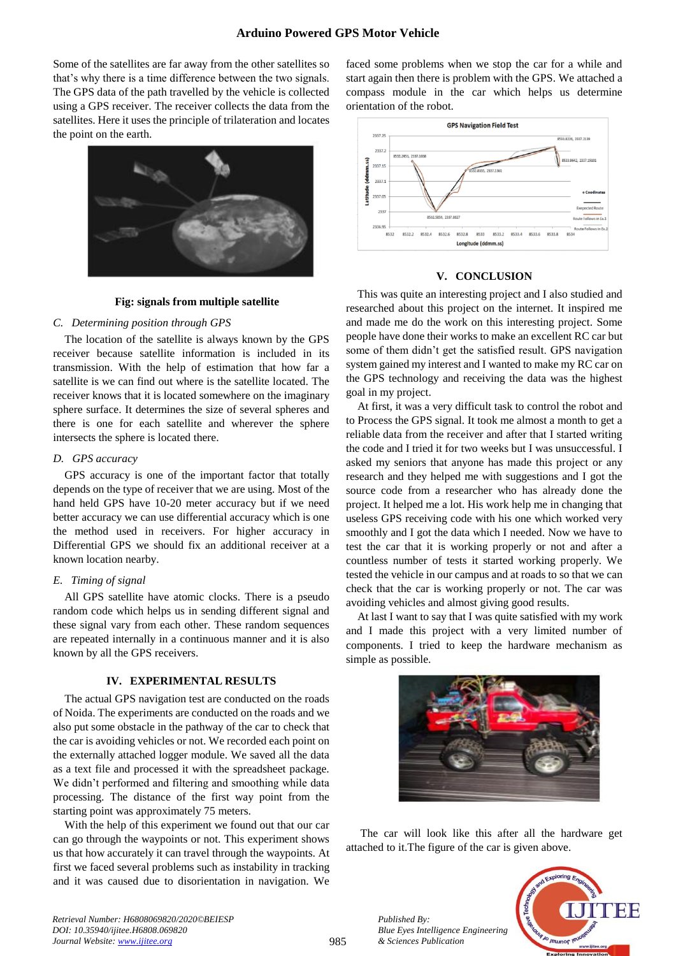# **Arduino Powered GPS Motor Vehicle**

Some of the satellites are far away from the other satellites so that's why there is a time difference between the two signals. The GPS data of the path travelled by the vehicle is collected using a GPS receiver. The receiver collects the data from the satellites. Here it uses the principle of trilateration and locates the point on the earth.



#### **Fig: signals from multiple satellite**

## *C. Determining position through GPS*

The location of the satellite is always known by the GPS receiver because satellite information is included in its transmission. With the help of estimation that how far a satellite is we can find out where is the satellite located. The receiver knows that it is located somewhere on the imaginary sphere surface. It determines the size of several spheres and there is one for each satellite and wherever the sphere intersects the sphere is located there.

## *D. GPS accuracy*

GPS accuracy is one of the important factor that totally depends on the type of receiver that we are using. Most of the hand held GPS have 10-20 meter accuracy but if we need better accuracy we can use differential accuracy which is one the method used in receivers. For higher accuracy in Differential GPS we should fix an additional receiver at a known location nearby.

#### *E. Timing of signal*

All GPS satellite have atomic clocks. There is a pseudo random code which helps us in sending different signal and these signal vary from each other. These random sequences are repeated internally in a continuous manner and it is also known by all the GPS receivers.

# **IV. EXPERIMENTAL RESULTS**

The actual GPS navigation test are conducted on the roads of Noida. The experiments are conducted on the roads and we also put some obstacle in the pathway of the car to check that the car is avoiding vehicles or not. We recorded each point on the externally attached logger module. We saved all the data as a text file and processed it with the spreadsheet package. We didn't performed and filtering and smoothing while data processing. The distance of the first way point from the starting point was approximately 75 meters.

With the help of this experiment we found out that our car can go through the waypoints or not. This experiment shows us that how accurately it can travel through the waypoints. At first we faced several problems such as instability in tracking and it was caused due to disorientation in navigation. We faced some problems when we stop the car for a while and start again then there is problem with the GPS. We attached a compass module in the car which helps us determine orientation of the robot.



#### **V. CONCLUSION**

This was quite an interesting project and I also studied and researched about this project on the internet. It inspired me and made me do the work on this interesting project. Some people have done their works to make an excellent RC car but some of them didn't get the satisfied result. GPS navigation system gained my interest and I wanted to make my RC car on the GPS technology and receiving the data was the highest goal in my project.

At first, it was a very difficult task to control the robot and to Process the GPS signal. It took me almost a month to get a reliable data from the receiver and after that I started writing the code and I tried it for two weeks but I was unsuccessful. I asked my seniors that anyone has made this project or any research and they helped me with suggestions and I got the source code from a researcher who has already done the project. It helped me a lot. His work help me in changing that useless GPS receiving code with his one which worked very smoothly and I got the data which I needed. Now we have to test the car that it is working properly or not and after a countless number of tests it started working properly. We tested the vehicle in our campus and at roads to so that we can check that the car is working properly or not. The car was avoiding vehicles and almost giving good results.

At last I want to say that I was quite satisfied with my work and I made this project with a very limited number of components. I tried to keep the hardware mechanism as simple as possible.



The car will look like this after all the hardware get attached to it.The figure of the car is given above.



*Retrieval Number: H6808069820/2020©BEIESP DOI: 10.35940/ijitee.H6808.069820 Journal Website: www.ijitee.org*

985

*Published By:*

*& Sciences Publication*